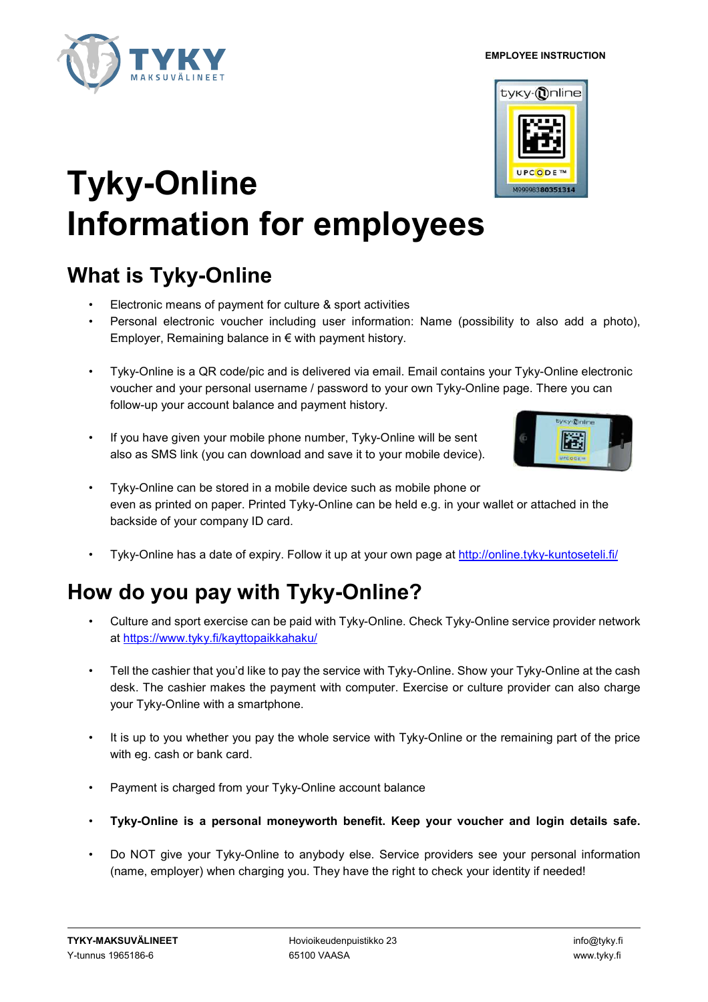# **Tyky-Online Information for employees**

## **What is Tyky-Online**

- Electronic means of payment for culture & sport activities
- Personal electronic voucher including user information: Name (possibility to also add a photo), Employer, Remaining balance in € with payment history.
- Tyky-Online is a QR code/pic and is delivered via email. Email contains your Tyky-Online electronic voucher and your personal username / password to your own Tyky-Online page. There you can follow-up your account balance and payment history.
- If you have given your mobile phone number, Tyky-Online will be sent also as SMS link (you can download and save it to your mobile device).
- Tyky-Online can be stored in a mobile device such as mobile phone or even as printed on paper. Printed Tyky-Online can be held e.g. in your wallet or attached in the backside of your company ID card.
- Tyky-Online has a date of expiry. Follow it up at your own page at http://online.tyky-kuntoseteli.fi/

## **How do you pay with Tyky-Online?**

- Culture and sport exercise can be paid with Tyky-Online. Check Tyky-Online service provider network at https://www.tyky.fi/kayttopaikkahaku/
- Tell the cashier that you'd like to pay the service with Tyky-Online. Show your Tyky-Online at the cash desk. The cashier makes the payment with computer. Exercise or culture provider can also charge your Tyky-Online with a smartphone.
- It is up to you whether you pay the whole service with Tyky-Online or the remaining part of the price with eg. cash or bank card.
- Payment is charged from your Tyky-Online account balance
- **Tyky-Online is a personal moneyworth benefit. Keep your voucher and login details safe.**
- Do NOT give your Tyky-Online to anybody else. Service providers see your personal information (name, employer) when charging you. They have the right to check your identity if needed!

 **EMPLOYEE INSTRUCTION**